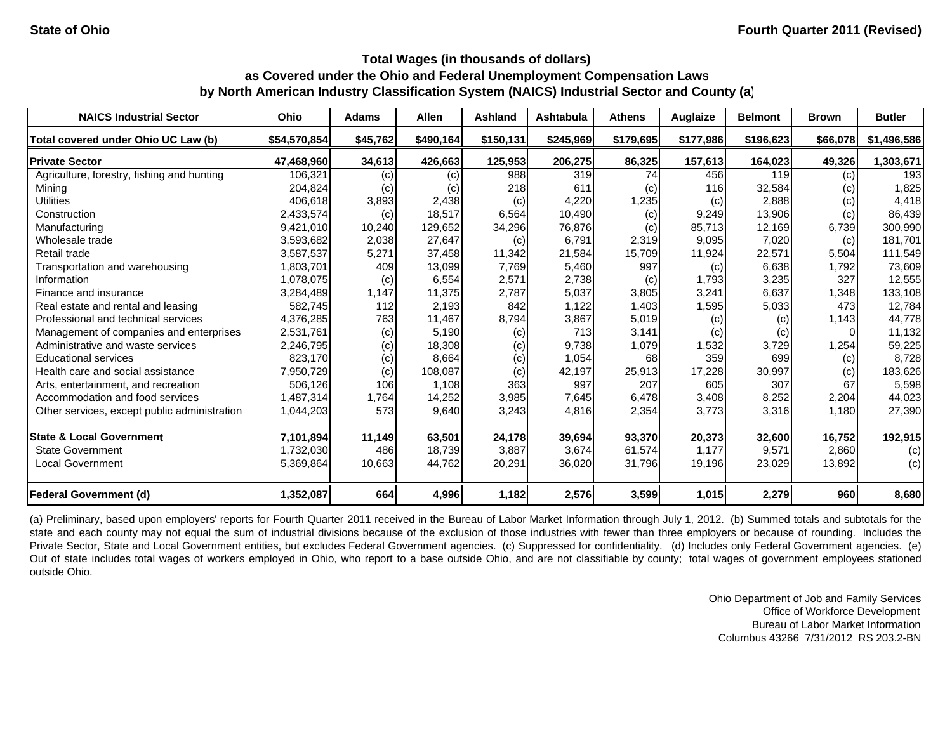| <b>NAICS Industrial Sector</b>               | Ohio         | <b>Adams</b> | <b>Allen</b> | <b>Ashland</b> | Ashtabula | <b>Athens</b> | Auglaize  | <b>Belmont</b> | <b>Brown</b> | <b>Butler</b> |
|----------------------------------------------|--------------|--------------|--------------|----------------|-----------|---------------|-----------|----------------|--------------|---------------|
| Total covered under Ohio UC Law (b)          | \$54,570,854 | \$45,762     | \$490,164    | \$150,131      | \$245,969 | \$179,695     | \$177,986 | \$196,623      | \$66,078     | \$1,496,586   |
| <b>Private Sector</b>                        | 47,468,960   | 34,613       | 426,663      | 125,953        | 206,275   | 86,325        | 157,613   | 164,023        | 49,326       | 1,303,671     |
| Agriculture, forestry, fishing and hunting   | 106,321      | (c)          | (c)          | 988            | 319       | 74            | 456       | 119            | (c)          | 193           |
| Mining                                       | 204,824      | (c)          | (c)          | 218            | 611       | (c)           | 116       | 32,584         | $\left( $    | 1,825         |
| <b>Utilities</b>                             | 406,618      | 3,893        | 2,438        | (c)            | 4,220     | 1,235         | (c)       | 2,888          | (c)          | 4,418         |
| Construction                                 | 2,433,574    | (c)          | 18,517       | 6,564          | 10,490    | (c)           | 9,249     | 13.906         | (c)          | 86,439        |
| Manufacturing                                | 9,421,010    | 10,240       | 129,652      | 34,296         | 76,876    | (c)           | 85,713    | 12,169         | 6,739        | 300,990       |
| Wholesale trade                              | 3,593,682    | 2,038        | 27,647       | (c)            | 6.791     | 2,319         | 9,095     | 7,020          | (c)          | 181,701       |
| Retail trade                                 | 3,587,537    | 5,271        | 37,458       | 11,342         | 21,584    | 15,709        | 11,924    | 22,571         | 5,504        | 111,549       |
| Transportation and warehousing               | 1,803,701    | 409          | 13,099       | 7,769          | 5,460     | 997           | (c)       | 6,638          | 1,792        | 73,609        |
| Information                                  | 1,078,075    | (c)          | 6,554        | 2,571          | 2,738     | (c)           | 1,793     | 3,235          | 327          | 12,555        |
| Finance and insurance                        | 3,284,489    | 1,147        | 11,375       | 2,787          | 5,037     | 3,805         | 3,241     | 6,637          | 1,348        | 133,108       |
| Real estate and rental and leasing           | 582,745      | 112          | 2,193        | 842            | 1,122     | 1,403         | 1,595     | 5,033          | 473          | 12,784        |
| Professional and technical services          | 4,376,285    | 763          | 11,467       | 8,794          | 3,867     | 5,019         | (c)       | (c)            | 1,143        | 44,778        |
| Management of companies and enterprises      | 2,531,761    | (c)          | 5,190        | (c)            | 713       | 3.141         | (c)       | (c)            | 0            | 11,132        |
| Administrative and waste services            | 2,246,795    | (c)          | 18,308       | (c)            | 9,738     | 1,079         | 1,532     | 3,729          | 1,254        | 59,225        |
| <b>Educational services</b>                  | 823,170      | (c)          | 8,664        | (c)            | 1,054     | 68            | 359       | 699            | (c)          | 8,728         |
| Health care and social assistance            | 7,950,729    | (c)          | 108,087      | (c)            | 42,197    | 25,913        | 17,228    | 30,997         | (c)          | 183,626       |
| Arts, entertainment, and recreation          | 506,126      | 106          | 1,108        | 363            | 997       | 207           | 605       | 307            | 67           | 5,598         |
| Accommodation and food services              | 1,487,314    | 1,764        | 14,252       | 3,985          | 7,645     | 6,478         | 3,408     | 8,252          | 2,204        | 44,023        |
| Other services, except public administration | 1,044,203    | 573          | 9,640        | 3,243          | 4,816     | 2,354         | 3,773     | 3,316          | 1,180        | 27,390        |
| <b>State &amp; Local Government</b>          | 7,101,894    | 11,149       | 63,501       | 24,178         | 39,694    | 93,370        | 20,373    | 32,600         | 16,752       | 192,915       |
| <b>State Government</b>                      | 1,732,030    | 486          | 18,739       | 3,887          | 3,674     | 61,574        | 1.177     | 9,571          | 2,860        | (c)           |
| <b>Local Government</b>                      | 5,369,864    | 10,663       | 44,762       | 20,291         | 36,020    | 31,796        | 19,196    | 23,029         | 13,892       | (c)           |
| <b>Federal Government (d)</b>                | 1,352,087    | 664          | 4,996        | 1,182          | 2,576     | 3,599         | 1,015     | 2,279          | 960          | 8,680         |

(a) Preliminary, based upon employers' reports for Fourth Quarter 2011 received in the Bureau of Labor Market Information through July 1, 2012. (b) Summed totals and subtotals for the state and each county may not equal the sum of industrial divisions because of the exclusion of those industries with fewer than three employers or because of rounding. Includes the Private Sector, State and Local Government entities, but excludes Federal Government agencies. (c) Suppressed for confidentiality. (d) Includes only Federal Government agencies. (e) Out of state includes total wages of workers employed in Ohio, who report to <sup>a</sup> base outside Ohio, and are not classifiable by county; total wages of government employees stationed outside Ohio.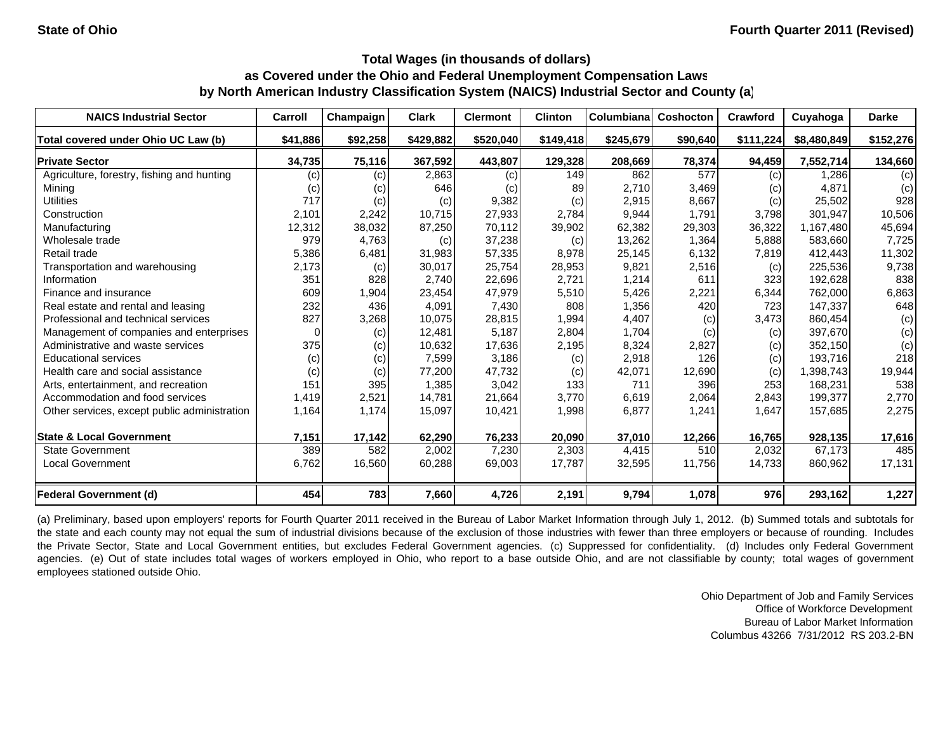| <b>NAICS Industrial Sector</b>               | Carroll  | Champaign | <b>Clark</b> | <b>Clermont</b> | <b>Clinton</b> | <b>Columbiana</b> | <b>Coshocton</b> | <b>Crawford</b> | Cuyahoga    | <b>Darke</b> |
|----------------------------------------------|----------|-----------|--------------|-----------------|----------------|-------------------|------------------|-----------------|-------------|--------------|
| Total covered under Ohio UC Law (b)          | \$41,886 | \$92,258  | \$429,882    | \$520,040       | \$149,418      | \$245,679         | \$90,640         | \$111,224       | \$8,480,849 | \$152,276    |
| <b>Private Sector</b>                        | 34,735   | 75,116    | 367,592      | 443,807         | 129,328        | 208,669           | 78,374           | 94,459          | 7,552,714   | 134,660      |
| Agriculture, forestry, fishing and hunting   | (c)      | (c)       | 2,863        | (c)             | 149            | 862               | 577              | (c)             | 1.286       | (c)          |
| Mining                                       | (c)      | (c)       | 646          | (c)             | 89             | 2,710             | 3,469            | (c)             | 4,871       | (c)          |
| <b>Utilities</b>                             | 717      | (c)       | (c)          | 9,382           | (c)            | 2,915             | 8,667            | (c)             | 25,502      | 928          |
| Construction                                 | 2,101    | 2,242     | 10.715       | 27,933          | 2.784          | 9,944             | 1.791            | 3,798           | 301.947     | 10,506       |
| Manufacturing                                | 12,312   | 38,032    | 87,250       | 70,112          | 39,902         | 62,382            | 29,303           | 36,322          | 1,167,480   | 45,694       |
| Wholesale trade                              | 979      | 4,763     | (c)          | 37,238          | (c)            | 13,262            | 1,364            | 5,888           | 583,660     | 7,725        |
| Retail trade                                 | 5,386    | 6,481     | 31,983       | 57,335          | 8,978          | 25,145            | 6,132            | 7,819           | 412,443     | 11,302       |
| Transportation and warehousing               | 2,173    | (c)       | 30,017       | 25,754          | 28,953         | 9,821             | 2,516            | (c)             | 225,536     | 9,738        |
| Information                                  | 351      | 828       | 2,740        | 22,696          | 2,721          | 1,214             | 611              | 323             | 192,628     | 838          |
| Finance and insurance                        | 609      | 1,904     | 23,454       | 47,979          | 5,510          | 5,426             | 2,221            | 6,344           | 762,000     | 6,863        |
| Real estate and rental and leasing           | 232      | 436       | 4,091        | 7,430           | 808            | 1,356             | 420              | 723             | 147,337     | 648          |
| Professional and technical services          | 827      | 3,268     | 10,075       | 28,815          | 1,994          | 4,407             | (c)              | 3,473           | 860,454     | (c)          |
| Management of companies and enterprises      | $\Omega$ | (c)       | 12,481       | 5,187           | 2,804          | 1,704             | (c)              | (c)             | 397,670     | (c)          |
| Administrative and waste services            | 375      | (c)       | 10,632       | 17,636          | 2,195          | 8,324             | 2,827            | (c)             | 352,150     | (c)          |
| <b>Educational services</b>                  | (c)      | (c)       | 7,599        | 3,186           | (c)            | 2,918             | 126              | (c)             | 193,716     | 218          |
| Health care and social assistance            | (c)      | (c)       | 77,200       | 47,732          | (c)            | 42,071            | 12,690           | (c)             | 1,398,743   | 19,944       |
| Arts, entertainment, and recreation          | 151      | 395       | 1,385        | 3,042           | 133            | 711               | 396              | 253             | 168,231     | 538          |
| Accommodation and food services              | 1,419    | 2,521     | 14.781       | 21,664          | 3,770          | 6,619             | 2,064            | 2,843           | 199,377     | 2,770        |
| Other services, except public administration | 1,164    | 1,174     | 15,097       | 10,421          | 1,998          | 6,877             | 1,241            | 1,647           | 157,685     | 2,275        |
| <b>State &amp; Local Government</b>          | 7,151    | 17,142    | 62,290       | 76,233          | 20,090         | 37,010            | 12,266           | 16,765          | 928,135     | 17,616       |
| <b>State Government</b>                      | 389      | 582       | 2,002        | 7,230           | 2,303          | 4,415             | 510              | 2,032           | 67,173      | 485          |
| <b>Local Government</b>                      | 6,762    | 16,560    | 60,288       | 69,003          | 17,787         | 32,595            | 11,756           | 14,733          | 860,962     | 17,131       |
| <b>Federal Government (d)</b>                | 454      | 783       | 7,660        | 4,726           | 2,191          | 9,794             | 1,078            | 976             | 293,162     | 1,227        |

(a) Preliminary, based upon employers' reports for Fourth Quarter 2011 received in the Bureau of Labor Market Information through July 1, 2012. (b) Summed totals and subtotals for the state and each county may not equal the sum of industrial divisions because of the exclusion of those industries with fewer than three employers or because of rounding. Includes the Private Sector, State and Local Government entities, but excludes Federal Government agencies. (c) Suppressed for confidentiality. (d) Includes only Federal Government agencies. (e) Out of state includes total wages of workers employed in Ohio, who report to a base outside Ohio, and are not classifiable by county; total wages of government employees stationed outside Ohio.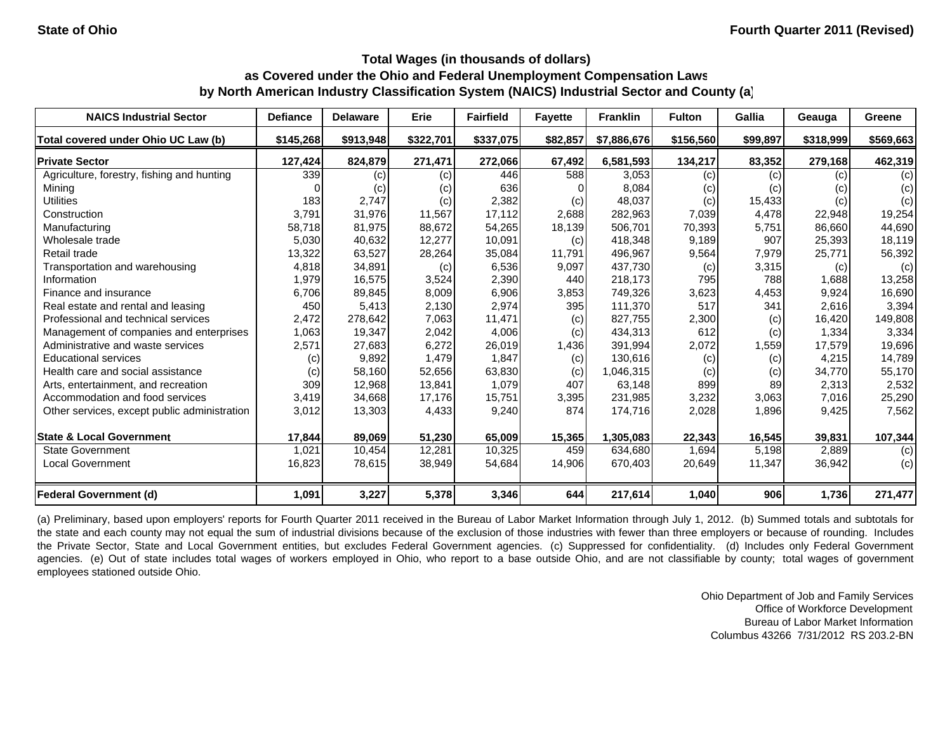| <b>NAICS Industrial Sector</b>               | <b>Defiance</b> | <b>Delaware</b> | Erie      | <b>Fairfield</b>    | <b>Favette</b> | <b>Franklin</b> | <b>Fulton</b> | Gallia   | Geauga    | Greene    |
|----------------------------------------------|-----------------|-----------------|-----------|---------------------|----------------|-----------------|---------------|----------|-----------|-----------|
| Total covered under Ohio UC Law (b)          | \$145,268       | \$913,948       | \$322,701 | \$337,075           | \$82,857       | \$7,886,676     | \$156,560     | \$99,897 | \$318,999 | \$569,663 |
| <b>Private Sector</b>                        | 127,424         | 824,879         | 271,471   | 272,066             | 67,492         | 6,581,593       | 134,217       | 83,352   | 279,168   | 462,319   |
| Agriculture, forestry, fishing and hunting   | 339             | (c)             | (c)       | 446                 | 588            | 3,053           | (c)           | (c)      | (c)       | (c)       |
| Mining                                       |                 | (c)             | (c)       | 636                 |                | 8,084           | (c)           | (c)      | (c)       | (c)       |
| <b>Utilities</b>                             | 183             | 2,747           | (c)       | 2,382               | (c)            | 48,037          | (c)           | 15,433   | (c)       | (c)       |
| Construction                                 | 3,791           | 31.976          | 11,567    | 17.112              | 2,688          | 282,963         | 7,039         | 4.478    | 22,948    | 19,254    |
| Manufacturing                                | 58,718          | 81,975          | 88,672    | 54,265              | 18,139         | 506,701         | 70,393        | 5,751    | 86,660    | 44,690    |
| Wholesale trade                              | 5,030           | 40,632          | 12,277    | 10,091              | (c)            | 418,348         | 9,189         | 907      | 25,393    | 18,119    |
| Retail trade                                 | 13,322          | 63,527          | 28,264    | 35,084              | 11,791         | 496,967         | 9,564         | 7,979    | 25,771    | 56,392    |
| Transportation and warehousing               | 4,818           | 34,891          | (c)       | 6,536               | 9,097          | 437,730         | (c)           | 3,315    | (c)       | (c)       |
| Information                                  | 1,979           | 16,575          | 3,524     | 2,390               | 440            | 218,173         | 795           | 788      | 1,688     | 13,258    |
| Finance and insurance                        | 6,706           | 89,845          | 8,009     | 6,906               | 3,853          | 749,326         | 3,623         | 4,453    | 9,924     | 16,690    |
| Real estate and rental and leasing           | 450             | 5,413           | 2,130     | 2,974               | 395            | 111,370         | 517           | 341      | 2,616     | 3,394     |
| Professional and technical services          | 2,472           | 278,642         | 7,063     | 11,471              | (c)            | 827,755         | 2,300         | (c)      | 16.420    | 149,808   |
| Management of companies and enterprises      | 1,063           | 19,347          | 2,042     | 4,006               | (c)            | 434,313         | 612           | (c)      | 1,334     | 3,334     |
| Administrative and waste services            | 2,571           | 27,683          | 6,272     | 26,019              | 1,436          | 391,994         | 2,072         | 1,559    | 17,579    | 19,696    |
| <b>Educational services</b>                  | (c)             | 9,892           | 1,479     | 1,847               | (c)            | 130,616         | (c)           | (c)      | 4,215     | 14,789    |
| Health care and social assistance            | (c)             | 58,160          | 52,656    | 63,830              | (c)            | 1,046,315       | (c)           | (c)      | 34,770    | 55,170    |
| Arts, entertainment, and recreation          | 309             | 12,968          | 13,841    | 1.079               | 407            | 63,148          | 899           | 89       | 2,313     | 2,532     |
| Accommodation and food services              | 3,419           | 34,668          | 17,176    | 15,751              | 3,395          | 231,985         | 3,232         | 3,063    | 7,016     | 25,290    |
| Other services, except public administration | 3,012           | 13,303          | 4,433     | 9,240               | 874            | 174,716         | 2,028         | 1,896    | 9,425     | 7,562     |
| <b>State &amp; Local Government</b>          | 17,844          | 89,069          | 51,230    | 65,009              | 15,365         | 1,305,083       | 22,343        | 16,545   | 39,831    | 107,344   |
| <b>State Government</b>                      | 1,021           | 10,454          | 12,281    | $\overline{10,325}$ | 459            | 634,680         | 1,694         | 5,198    | 2,889     | (c)       |
| <b>Local Government</b>                      | 16,823          | 78,615          | 38,949    | 54,684              | 14,906         | 670,403         | 20,649        | 11,347   | 36,942    | (c)       |
| Federal Government (d)                       | 1,091           | 3,227           | 5,378     | 3,346               | 644            | 217,614         | 1,040         | 906      | 1,736     | 271,477   |

(a) Preliminary, based upon employers' reports for Fourth Quarter 2011 received in the Bureau of Labor Market Information through July 1, 2012. (b) Summed totals and subtotals for the state and each county may not equal the sum of industrial divisions because of the exclusion of those industries with fewer than three employers or because of rounding. Includes the Private Sector, State and Local Government entities, but excludes Federal Government agencies. (c) Suppressed for confidentiality. (d) Includes only Federal Government agencies. (e) Out of state includes total wages of workers employed in Ohio, who report to a base outside Ohio, and are not classifiable by county; total wages of government employees stationed outside Ohio.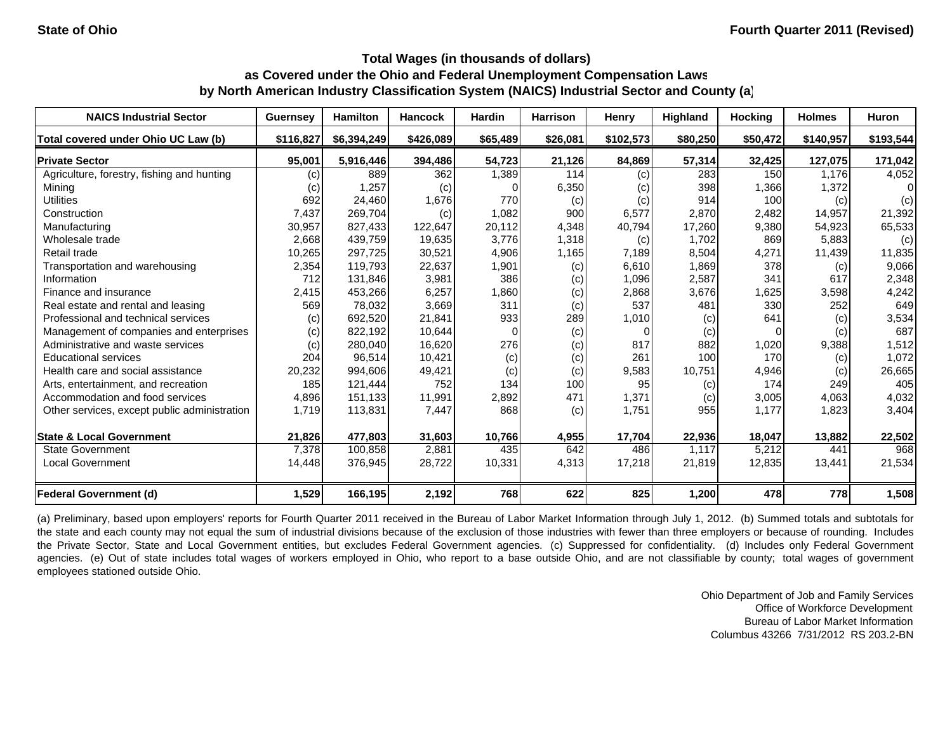| <b>NAICS Industrial Sector</b>               | <b>Guernsey</b>   | <b>Hamilton</b> | <b>Hancock</b> | <b>Hardin</b> | <b>Harrison</b> | Henry     | <b>Highland</b> | <b>Hocking</b> | <b>Holmes</b> | Huron     |
|----------------------------------------------|-------------------|-----------------|----------------|---------------|-----------------|-----------|-----------------|----------------|---------------|-----------|
| Total covered under Ohio UC Law (b)          | \$116,827         | \$6,394,249     | \$426,089      | \$65,489      | \$26,081        | \$102,573 | \$80,250        | \$50,472       | \$140,957     | \$193,544 |
| <b>Private Sector</b>                        | 95,001            | 5,916,446       | 394,486        | 54,723        | 21,126          | 84,869    | 57,314          | 32,425         | 127,075       | 171,042   |
| Agriculture, forestry, fishing and hunting   | (C)               | 889             | 362            | 1,389         | 114             | (c)       | 283             | 150            | 1.176         | 4,052     |
| Mining                                       | $\left( c\right)$ | 1,257           | (c)            |               | 6,350           | (c)       | 398             | 1,366          | 1,372         | 01        |
| <b>Utilities</b>                             | 692               | 24,460          | 1,676          | 770           | (c)             | (c)       | 914             | 100            | (c)           | (c)       |
| Construction                                 | 7,437             | 269,704         | (c)            | 1,082         | 900             | 6,577     | 2,870           | 2,482          | 14,957        | 21,392    |
| Manufacturing                                | 30,957            | 827,433         | 122,647        | 20,112        | 4,348           | 40,794    | 17,260          | 9,380          | 54,923        | 65,533    |
| Wholesale trade                              | 2,668             | 439,759         | 19,635         | 3,776         | 1,318           | (c)       | 1,702           | 869            | 5,883         | (c)       |
| Retail trade                                 | 10,265            | 297,725         | 30,521         | 4,906         | 1,165           | 7,189     | 8,504           | 4,271          | 11,439        | 11,835    |
| Transportation and warehousing               | 2,354             | 119,793         | 22,637         | 1,901         | (c)             | 6,610     | 1,869           | 378            | (c)           | 9,066     |
| Information                                  | 712               | 131,846         | 3,981          | 386           | (c)             | 1,096     | 2,587           | 341            | 617           | 2,348     |
| Finance and insurance                        | 2,415             | 453,266         | 6,257          | 1,860         | (c)             | 2,868     | 3,676           | 1,625          | 3,598         | 4,242     |
| Real estate and rental and leasing           | 569               | 78,032          | 3,669          | 311           | (c)             | 537       | 481             | 330            | 252           | 649       |
| Professional and technical services          | (c)               | 692.520         | 21,841         | 933           | 289             | 1,010     | (c)             | 641            | (c)           | 3,534     |
| Management of companies and enterprises      | (c)               | 822,192         | 10,644         |               | (c)             |           | (c)             | 0              | (c)           | 687       |
| Administrative and waste services            | (c)               | 280,040         | 16,620         | 276           | (c)             | 817       | 882             | 1,020          | 9,388         | 1,512     |
| <b>Educational services</b>                  | 204               | 96,514          | 10,421         | (c)           | (c)             | 261       | 100             | 170            | (c)           | 1,072     |
| Health care and social assistance            | 20,232            | 994,606         | 49,421         | (c)           | (c)             | 9,583     | 10,751          | 4,946          | (c)           | 26,665    |
| Arts, entertainment, and recreation          | 185               | 121.444         | 752            | 134           | 100             | 95        | (c)             | 174            | 249           | 405       |
| Accommodation and food services              | 4,896             | 151,133         | 11,991         | 2,892         | 471             | 1,371     | (c)             | 3,005          | 4,063         | 4,032     |
| Other services, except public administration | 1,719             | 113,831         | 7,447          | 868           | (c)             | 1,751     | 955             | 1,177          | 1,823         | 3,404     |
| <b>State &amp; Local Government</b>          | 21,826            | 477,803         | 31,603         | 10,766        | 4,955           | 17,704    | 22,936          | 18,047         | 13,882        | 22,502    |
| <b>State Government</b>                      | 7,378             | 100,858         | 2,881          | 435           | 642             | 486       | 1.117           | 5,212          | 441           | 968       |
| <b>Local Government</b>                      | 14,448            | 376,945         | 28,722         | 10,331        | 4,313           | 17,218    | 21,819          | 12,835         | 13,441        | 21,534    |
| Federal Government (d)                       | 1,529             | 166,195         | 2,192          | 768           | 622             | 825       | 1,200           | 478            | 778           | 1,508     |

(a) Preliminary, based upon employers' reports for Fourth Quarter 2011 received in the Bureau of Labor Market Information through July 1, 2012. (b) Summed totals and subtotals for the state and each county may not equal the sum of industrial divisions because of the exclusion of those industries with fewer than three employers or because of rounding. Includes the Private Sector, State and Local Government entities, but excludes Federal Government agencies. (c) Suppressed for confidentiality. (d) Includes only Federal Government agencies. (e) Out of state includes total wages of workers employed in Ohio, who report to a base outside Ohio, and are not classifiable by county; total wages of government employees stationed outside Ohio.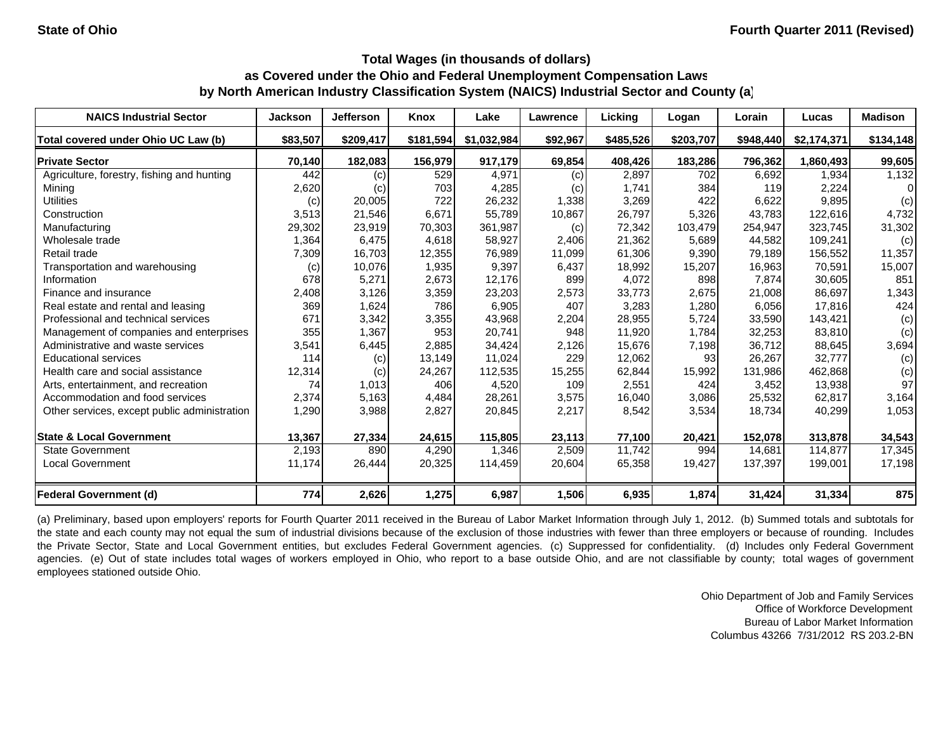| <b>NAICS Industrial Sector</b>               | <b>Jackson</b> | <b>Jefferson</b> | Knox      | Lake        | Lawrence | Licking   | Logan     | Lorain    | Lucas       | <b>Madison</b> |
|----------------------------------------------|----------------|------------------|-----------|-------------|----------|-----------|-----------|-----------|-------------|----------------|
| Total covered under Ohio UC Law (b)          | \$83,507       | \$209,417        | \$181,594 | \$1,032,984 | \$92,967 | \$485,526 | \$203,707 | \$948,440 | \$2,174,371 | \$134,148      |
| <b>Private Sector</b>                        | 70,140         | 182,083          | 156,979   | 917,179     | 69,854   | 408,426   | 183,286   | 796,362   | 1,860,493   | 99,605         |
| Agriculture, forestry, fishing and hunting   | 442            | (c)              | 529       | 4,971       | (c)      | 2,897     | 702       | 6,692     | 1,934       | 1,132          |
| Mining                                       | 2,620          | (c)              | 703       | 4,285       | (c)      | 1,741     | 384       | 119       | 2,224       | $\Omega$       |
| <b>Utilities</b>                             | (c)            | 20,005           | 722       | 26,232      | 1,338    | 3,269     | 422       | 6,622     | 9,895       | (c)            |
| Construction                                 | 3,513          | 21,546           | 6.671     | 55.789      | 10,867   | 26,797    | 5,326     | 43.783    | 122.616     | 4,732          |
| Manufacturing                                | 29,302         | 23,919           | 70,303    | 361,987     | (c)      | 72,342    | 103,479   | 254,947   | 323,745     | 31,302         |
| Wholesale trade                              | 1,364          | 6,475            | 4,618     | 58,927      | 2,406    | 21,362    | 5,689     | 44,582    | 109,241     | (c)            |
| Retail trade                                 | 7,309          | 16,703           | 12,355    | 76,989      | 11,099   | 61,306    | 9,390     | 79,189    | 156,552     | 11,357         |
| Transportation and warehousing               | (c)            | 10,076           | 1,935     | 9,397       | 6,437    | 18,992    | 15,207    | 16,963    | 70,591      | 15,007         |
| Information                                  | 678            | 5,271            | 2,673     | 12,176      | 899      | 4,072     | 898       | 7,874     | 30,605      | 851            |
| Finance and insurance                        | 2,408          | 3,126            | 3,359     | 23,203      | 2,573    | 33,773    | 2,675     | 21,008    | 86,697      | 1,343          |
| Real estate and rental and leasing           | 369            | 1,624            | 786       | 6,905       | 407      | 3,283     | 1,280     | 6,056     | 17,816      | 424            |
| Professional and technical services          | 671            | 3,342            | 3,355     | 43,968      | 2,204    | 28,955    | 5,724     | 33,590    | 143,421     | (c)            |
| Management of companies and enterprises      | 355            | 1,367            | 953       | 20,741      | 948      | 11,920    | 1,784     | 32,253    | 83,810      | (c)            |
| Administrative and waste services            | 3,541          | 6,445            | 2,885     | 34,424      | 2,126    | 15,676    | 7,198     | 36,712    | 88,645      | 3,694          |
| <b>Educational services</b>                  | 114            | (c)              | 13,149    | 11,024      | 229      | 12,062    | 93        | 26,267    | 32,777      | (c)            |
| Health care and social assistance            | 12,314         | (c)              | 24,267    | 112,535     | 15,255   | 62,844    | 15,992    | 131,986   | 462,868     | (c)            |
| Arts, entertainment, and recreation          | 74             | 1,013            | 406       | 4,520       | 109      | 2,551     | 424       | 3,452     | 13,938      | 97             |
| Accommodation and food services              | 2,374          | 5,163            | 4,484     | 28,261      | 3,575    | 16,040    | 3,086     | 25,532    | 62,817      | 3,164          |
| Other services, except public administration | 1,290          | 3,988            | 2,827     | 20,845      | 2,217    | 8,542     | 3,534     | 18,734    | 40,299      | 1,053          |
| <b>State &amp; Local Government</b>          | 13,367         | 27,334           | 24,615    | 115,805     | 23,113   | 77,100    | 20,421    | 152,078   | 313,878     | 34,543         |
| <b>State Government</b>                      | 2,193          | 890              | 4,290     | 1,346       | 2,509    | 11,742    | 994       | 14,681    | 114,877     | 17,345         |
| <b>Local Government</b>                      | 11,174         | 26,444           | 20,325    | 114,459     | 20,604   | 65,358    | 19,427    | 137,397   | 199,001     | 17,198         |
| <b>Federal Government (d)</b>                | 774            | 2,626            | 1,275     | 6,987       | 1,506    | 6,935     | 1,874     | 31,424    | 31,334      | 875            |

(a) Preliminary, based upon employers' reports for Fourth Quarter 2011 received in the Bureau of Labor Market Information through July 1, 2012. (b) Summed totals and subtotals for the state and each county may not equal the sum of industrial divisions because of the exclusion of those industries with fewer than three employers or because of rounding. Includes the Private Sector, State and Local Government entities, but excludes Federal Government agencies. (c) Suppressed for confidentiality. (d) Includes only Federal Government agencies. (e) Out of state includes total wages of workers employed in Ohio, who report to a base outside Ohio, and are not classifiable by county; total wages of government employees stationed outside Ohio.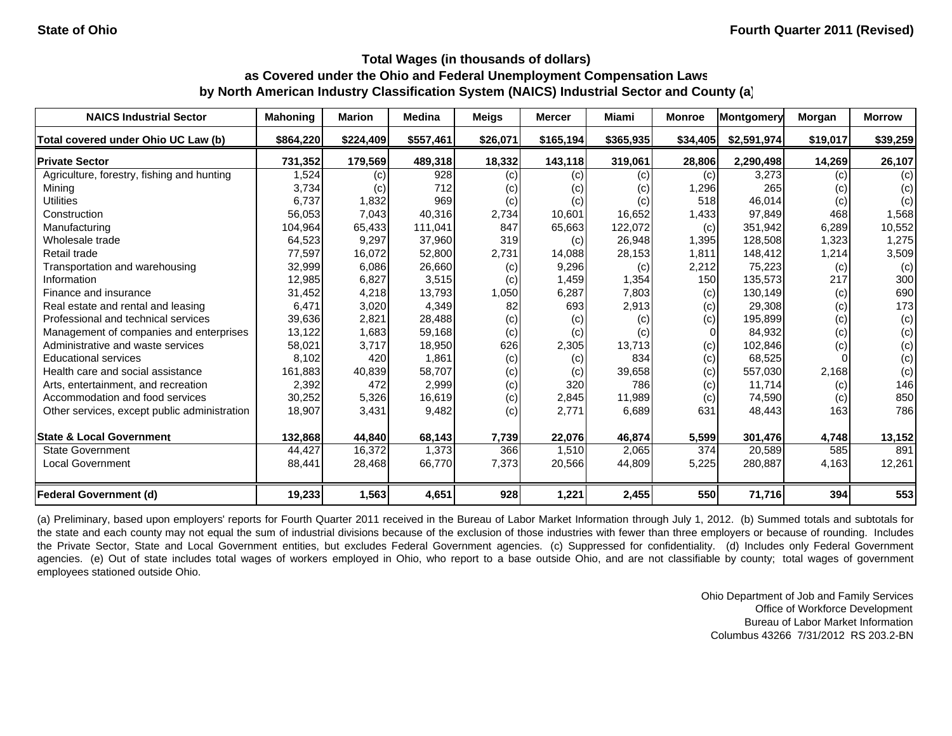| <b>NAICS Industrial Sector</b>               | <b>Mahoning</b> | <b>Marion</b> | <b>Medina</b> | <b>Meigs</b> | <b>Mercer</b> | Miami     | <b>Monroe</b> | Montgomery  | Morgan   | <b>Morrow</b> |
|----------------------------------------------|-----------------|---------------|---------------|--------------|---------------|-----------|---------------|-------------|----------|---------------|
| Total covered under Ohio UC Law (b)          | \$864,220       | \$224,409     | \$557,461     | \$26,071     | \$165,194     | \$365,935 | \$34,405      | \$2,591,974 | \$19,017 | \$39,259      |
| <b>Private Sector</b>                        | 731,352         | 179,569       | 489,318       | 18,332       | 143,118       | 319,061   | 28,806        | 2,290,498   | 14,269   | 26,107        |
| Agriculture, forestry, fishing and hunting   | 1,524           | (c)           | 928           | (c)          | (c)           | (c)       | (c)           | 3,273       | (c)      | (c)           |
| Mining                                       | 3,734           | (c)           | 712           | (c)          | (c)           | (c)       | 296, ا        | 265         | (c)      | (c)           |
| <b>Utilities</b>                             | 6,737           | 1,832         | 969           | (c)          | (c)           | (c)       | 518           | 46,014      | (c)      | (c)           |
| Construction                                 | 56,053          | 7,043         | 40,316        | 2,734        | 10,601        | 16,652    | 1,433         | 97,849      | 468      | 1,568         |
| Manufacturing                                | 104,964         | 65,433        | 111,041       | 847          | 65,663        | 122,072   | (c)           | 351,942     | 6,289    | 10,552        |
| Wholesale trade                              | 64,523          | 9,297         | 37,960        | 319          | (c)           | 26,948    | 1,395         | 128,508     | 1,323    | 1,275         |
| Retail trade                                 | 77,597          | 16,072        | 52,800        | 2,731        | 14,088        | 28,153    | 1,811         | 148,412     | 1,214    | 3,509         |
| Transportation and warehousing               | 32,999          | 6,086         | 26,660        | (c)          | 9,296         | (c)       | 2,212         | 75,223      | (c)      | (c)           |
| Information                                  | 12,985          | 6,827         | 3,515         | (c)          | 1,459         | 1,354     | 150           | 135,573     | 217      | 300           |
| Finance and insurance                        | 31,452          | 4,218         | 13,793        | 1,050        | 6,287         | 7,803     | (c)           | 130,149     | (c)      | 690           |
| Real estate and rental and leasing           | 6,471           | 3,020         | 4,349         | 82           | 693           | 2,913     | (c)           | 29,308      | (c)      | 173           |
| Professional and technical services          | 39,636          | 2,821         | 28,488        | (c)          | (c)           | (c)       | (c)           | 195,899     | (c)      | (c)           |
| Management of companies and enterprises      | 13,122          | 1,683         | 59,168        | (c)          | (c)           | (c)       | 0             | 84,932      | (c)      | (c)           |
| Administrative and waste services            | 58,021          | 3,717         | 18,950        | 626          | 2,305         | 13,713    | (c)           | 102,846     | (c)      | (c)           |
| <b>Educational services</b>                  | 8,102           | 420           | 1,861         | (c)          | (c)           | 834       | (c)           | 68,525      |          | (c)           |
| Health care and social assistance            | 161,883         | 40,839        | 58,707        | (c)          | (c)           | 39,658    | (c)           | 557,030     | 2,168    | (c)           |
| Arts, entertainment, and recreation          | 2,392           | 472           | 2,999         | (c)          | 320           | 786       | (c)           | 11,714      | (c)      | 146           |
| Accommodation and food services              | 30,252          | 5,326         | 16,619        | (c)          | 2,845         | 11,989    | (c)           | 74,590      | (c)      | 850           |
| Other services, except public administration | 18,907          | 3,431         | 9,482         | (c)          | 2,771         | 6,689     | 631           | 48,443      | 163      | 786           |
| <b>State &amp; Local Government</b>          | 132,868         | 44,840        | 68,143        | 7,739        | 22,076        | 46,874    | 5,599         | 301,476     | 4,748    | 13,152        |
| <b>State Government</b>                      | 44,427          | 16,372        | 1,373         | 366          | 1,510         | 2,065     | 374           | 20,589      | 585      | 891           |
| <b>Local Government</b>                      | 88,441          | 28,468        | 66,770        | 7,373        | 20,566        | 44,809    | 5,225         | 280,887     | 4,163    | 12,261        |
| <b>Federal Government (d)</b>                | 19,233          | 1,563         | 4,651         | 928          | 1,221         | 2,455     | 550           | 71,716      | 394      | 553           |

(a) Preliminary, based upon employers' reports for Fourth Quarter 2011 received in the Bureau of Labor Market Information through July 1, 2012. (b) Summed totals and subtotals for the state and each county may not equal the sum of industrial divisions because of the exclusion of those industries with fewer than three employers or because of rounding. Includes the Private Sector, State and Local Government entities, but excludes Federal Government agencies. (c) Suppressed for confidentiality. (d) Includes only Federal Government agencies. (e) Out of state includes total wages of workers employed in Ohio, who report to a base outside Ohio, and are not classifiable by county; total wages of government employees stationed outside Ohio.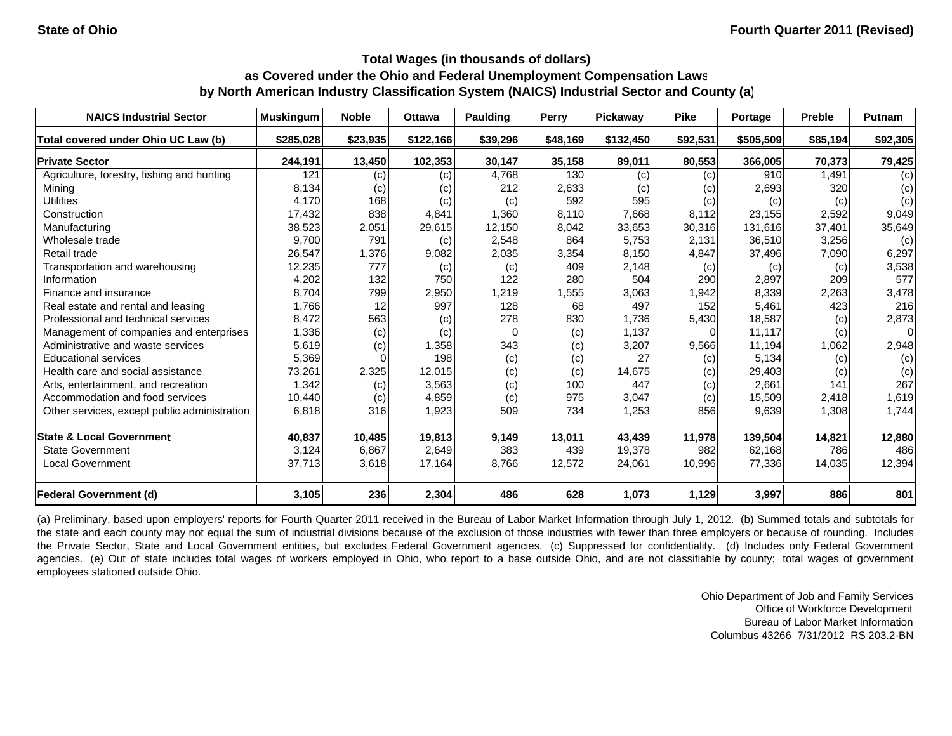| <b>NAICS Industrial Sector</b>               | <b>Muskingum</b> | <b>Noble</b> | <b>Ottawa</b> | Paulding | <b>Perry</b> | <b>Pickaway</b> | <b>Pike</b> | Portage   | <b>Preble</b> | <b>Putnam</b> |
|----------------------------------------------|------------------|--------------|---------------|----------|--------------|-----------------|-------------|-----------|---------------|---------------|
| Total covered under Ohio UC Law (b)          | \$285,028        | \$23,935     | \$122,166     | \$39,296 | \$48,169     | \$132,450       | \$92,531    | \$505,509 | \$85,194      | \$92,305      |
| <b>Private Sector</b>                        | 244,191          | 13,450       | 102,353       | 30,147   | 35,158       | 89,011          | 80,553      | 366,005   | 70,373        | 79,425        |
| Agriculture, forestry, fishing and hunting   | 121              | (c)          | (c)           | 4,768    | 130          | (c)             | (c)         | 910       | 1.491         | (c)           |
| Mining                                       | 8,134            | (c)          | (c)           | 212      | 2,633        | (c)             | (c)         | 2,693     | 320           | (c)           |
| <b>Utilities</b>                             | 4,170            | 168          | (c)           | (c)      | 592          | 595             | (c)         | (c)       | (c)           | (c)           |
| Construction                                 | 17,432           | 838          | 4,841         | 1,360    | 8.110        | 7.668           | 8,112       | 23,155    | 2,592         | 9,049         |
| Manufacturing                                | 38,523           | 2,051        | 29,615        | 12,150   | 8,042        | 33,653          | 30,316      | 131,616   | 37,401        | 35,649        |
| Wholesale trade                              | 9,700            | 791          | (c)           | 2,548    | 864          | 5,753           | 2,131       | 36,510    | 3,256         | (c)           |
| Retail trade                                 | 26,547           | 1,376        | 9,082         | 2,035    | 3,354        | 8,150           | 4,847       | 37,496    | 7,090         | 6,297         |
| Transportation and warehousing               | 12,235           | 777          | (c)           | (c)      | 409          | 2,148           | (c)         | (c)       | (c)           | 3,538         |
| Information                                  | 4,202            | 132          | 750           | 122      | 280          | 504             | 290         | 2,897     | 209           | 577           |
| Finance and insurance                        | 8,704            | 799          | 2,950         | 1,219    | 1,555        | 3,063           | 1,942       | 8,339     | 2,263         | 3,478         |
| Real estate and rental and leasing           | 1,766            | 12           | 997           | 128      | 68           | 497             | 152         | 5,461     | 423           | 216           |
| Professional and technical services          | 8,472            | 563          | (c)           | 278      | 830          | 1,736           | 5,430       | 18,587    | (c)           | 2,873         |
| Management of companies and enterprises      | 1,336            | (c)          | (c)           | $\Omega$ | (c)          | 1,137           | $\Omega$    | 11,117    | (c)           | 0             |
| Administrative and waste services            | 5,619            | (c)          | 1,358         | 343      | (c)          | 3,207           | 9,566       | 11,194    | 1,062         | 2,948         |
| <b>Educational services</b>                  | 5,369            |              | 198           | (c)      | (c)          | 27              | (c)         | 5,134     | (c)           | (c)           |
| Health care and social assistance            | 73,261           | 2,325        | 12,015        | (c)      | (c)          | 14,675          | (c)         | 29,403    | (c)           | (c)           |
| Arts, entertainment, and recreation          | 1,342            | (c)          | 3,563         | (c)      | 100          | 447             | (c)         | 2,661     | 141           | 267           |
| Accommodation and food services              | 10,440           | (c)          | 4,859         | (c)      | 975          | 3,047           | (c)         | 15,509    | 2,418         | 1,619         |
| Other services, except public administration | 6,818            | 316          | 1,923         | 509      | 734          | 1,253           | 856         | 9,639     | 1,308         | 1,744         |
| <b>State &amp; Local Government</b>          | 40,837           | 10,485       | 19,813        | 9,149    | 13,011       | 43,439          | 11,978      | 139,504   | 14,821        | 12,880        |
| <b>State Government</b>                      | 3,124            | 6,867        | 2,649         | 383      | 439          | 19,378          | 982         | 62,168    | 786           | 486           |
| <b>Local Government</b>                      | 37,713           | 3,618        | 17,164        | 8,766    | 12,572       | 24,061          | 10,996      | 77,336    | 14,035        | 12,394        |
| Federal Government (d)                       | 3,105            | 236          | 2,304         | 486      | 628          | 1,073           | 1,129       | 3,997     | 886           | 801           |

(a) Preliminary, based upon employers' reports for Fourth Quarter 2011 received in the Bureau of Labor Market Information through July 1, 2012. (b) Summed totals and subtotals for the state and each county may not equal the sum of industrial divisions because of the exclusion of those industries with fewer than three employers or because of rounding. Includes the Private Sector, State and Local Government entities, but excludes Federal Government agencies. (c) Suppressed for confidentiality. (d) Includes only Federal Government agencies. (e) Out of state includes total wages of workers employed in Ohio, who report to a base outside Ohio, and are not classifiable by county; total wages of government employees stationed outside Ohio.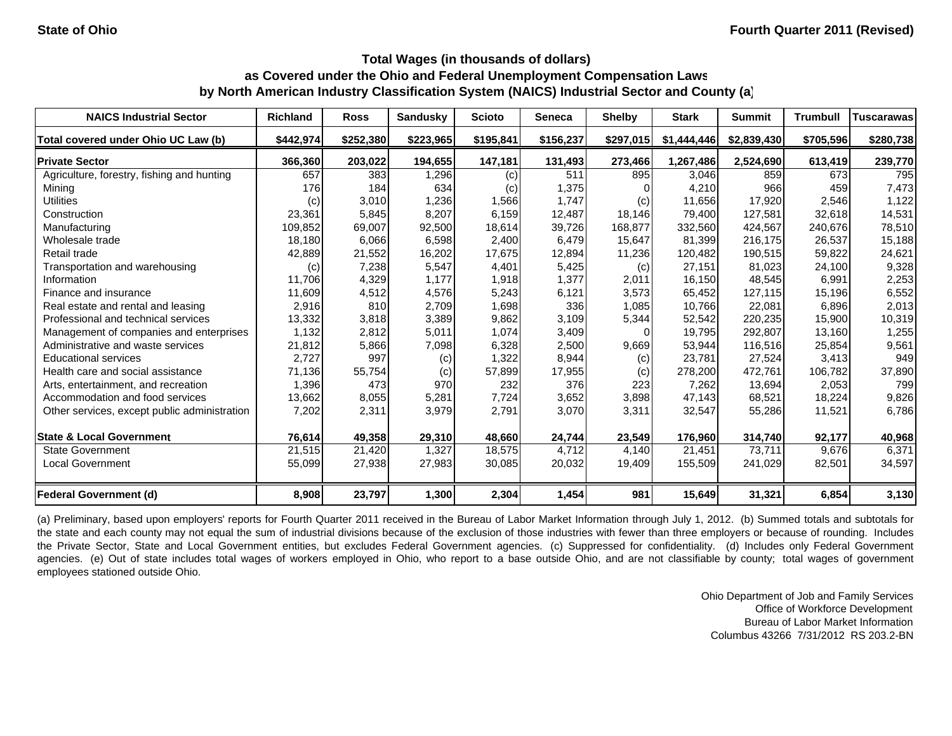| <b>NAICS Industrial Sector</b>               | <b>Richland</b> | <b>Ross</b> | <b>Sandusky</b> | <b>Scioto</b> | Seneca    | <b>Shelby</b> | <b>Stark</b> | <b>Summit</b> | <b>Trumbull</b> | <b>Tuscarawas</b> |
|----------------------------------------------|-----------------|-------------|-----------------|---------------|-----------|---------------|--------------|---------------|-----------------|-------------------|
| Total covered under Ohio UC Law (b)          | \$442,974       | \$252,380   | \$223,965       | \$195,841     | \$156,237 | \$297,015     | \$1,444,446  | \$2,839,430   | \$705,596       | \$280,738         |
| <b>Private Sector</b>                        | 366,360         | 203,022     | 194,655         | 147,181       | 131,493   | 273,466       | 1,267,486    | 2,524,690     | 613,419         | 239,770           |
| Agriculture, forestry, fishing and hunting   | 657             | 383         | 1,296           | (c)           | 511       | 895           | 3,046        | 859           | 673             | 795               |
| Mining                                       | 176             | 184         | 634             | (c)           | 1,375     |               | 4,210        | 966           | 459             | 7,473             |
| <b>Utilities</b>                             | (c)             | 3,010       | 1,236           | 1,566         | 1,747     | (c)           | 11,656       | 17,920        | 2,546           | 1,122             |
| Construction                                 | 23,361          | 5,845       | 8,207           | 6,159         | 12.487    | 18,146        | 79,400       | 127.581       | 32,618          | 14,531            |
| Manufacturing                                | 109,852         | 69,007      | 92,500          | 18,614        | 39,726    | 168,877       | 332,560      | 424,567       | 240,676         | 78,510            |
| Wholesale trade                              | 18,180          | 6,066       | 6,598           | 2,400         | 6,479     | 15,647        | 81,399       | 216,175       | 26,537          | 15,188            |
| Retail trade                                 | 42,889          | 21,552      | 16,202          | 17,675        | 12,894    | 11,236        | 120,482      | 190,515       | 59,822          | 24,621            |
| Transportation and warehousing               | (c)             | 7,238       | 5,547           | 4,401         | 5,425     | (c)           | 27,151       | 81,023        | 24,100          | 9,328             |
| Information                                  | 11,706          | 4,329       | 1,177           | 1,918         | 1,377     | 2,011         | 16,150       | 48,545        | 6,991           | 2,253             |
| Finance and insurance                        | 11,609          | 4,512       | 4,576           | 5,243         | 6,121     | 3,573         | 65,452       | 127,115       | 15,196          | 6,552             |
| Real estate and rental and leasing           | 2,916           | 810         | 2,709           | 1,698         | 336       | 1,085         | 10,766       | 22,081        | 6,896           | 2,013             |
| Professional and technical services          | 13,332          | 3,818       | 3,389           | 9,862         | 3,109     | 5,344         | 52,542       | 220,235       | 15,900          | 10,319            |
| Management of companies and enterprises      | 1,132           | 2,812       | 5,011           | 1,074         | 3,409     |               | 19,795       | 292,807       | 13,160          | 1,255             |
| Administrative and waste services            | 21,812          | 5,866       | 7,098           | 6,328         | 2,500     | 9,669         | 53,944       | 116,516       | 25,854          | 9,561             |
| <b>Educational services</b>                  | 2,727           | 997         | (c)             | 1,322         | 8,944     | (c)           | 23,781       | 27,524        | 3,413           | 949               |
| Health care and social assistance            | 71,136          | 55,754      | (c)             | 57,899        | 17,955    | (c)           | 278,200      | 472,761       | 106,782         | 37,890            |
| Arts, entertainment, and recreation          | 1,396           | 473         | 970             | 232           | 376       | 223           | 7,262        | 13,694        | 2,053           | 799               |
| Accommodation and food services              | 13,662          | 8,055       | 5,281           | 7,724         | 3,652     | 3,898         | 47,143       | 68,521        | 18,224          | 9,826             |
| Other services, except public administration | 7,202           | 2,311       | 3,979           | 2,791         | 3,070     | 3,311         | 32,547       | 55,286        | 11,521          | 6,786             |
| <b>State &amp; Local Government</b>          | 76,614          | 49,358      | 29,310          | 48,660        | 24,744    | 23,549        | 176,960      | 314,740       | 92,177          | 40,968            |
| <b>State Government</b>                      | 21,515          | 21,420      | 1,327           | 18,575        | 4,712     | 4,140         | 21,451       | 73,711        | 9,676           | 6,371             |
| <b>Local Government</b>                      | 55,099          | 27,938      | 27,983          | 30,085        | 20,032    | 19,409        | 155,509      | 241,029       | 82,501          | 34,597            |
| <b>Federal Government (d)</b>                | 8,908           | 23,797      | 1,300           | 2,304         | 1,454     | 981           | 15,649       | 31,321        | 6,854           | 3,130             |

(a) Preliminary, based upon employers' reports for Fourth Quarter 2011 received in the Bureau of Labor Market Information through July 1, 2012. (b) Summed totals and subtotals for the state and each county may not equal the sum of industrial divisions because of the exclusion of those industries with fewer than three employers or because of rounding. Includes the Private Sector, State and Local Government entities, but excludes Federal Government agencies. (c) Suppressed for confidentiality. (d) Includes only Federal Government agencies. (e) Out of state includes total wages of workers employed in Ohio, who report to a base outside Ohio, and are not classifiable by county; total wages of government employees stationed outside Ohio.